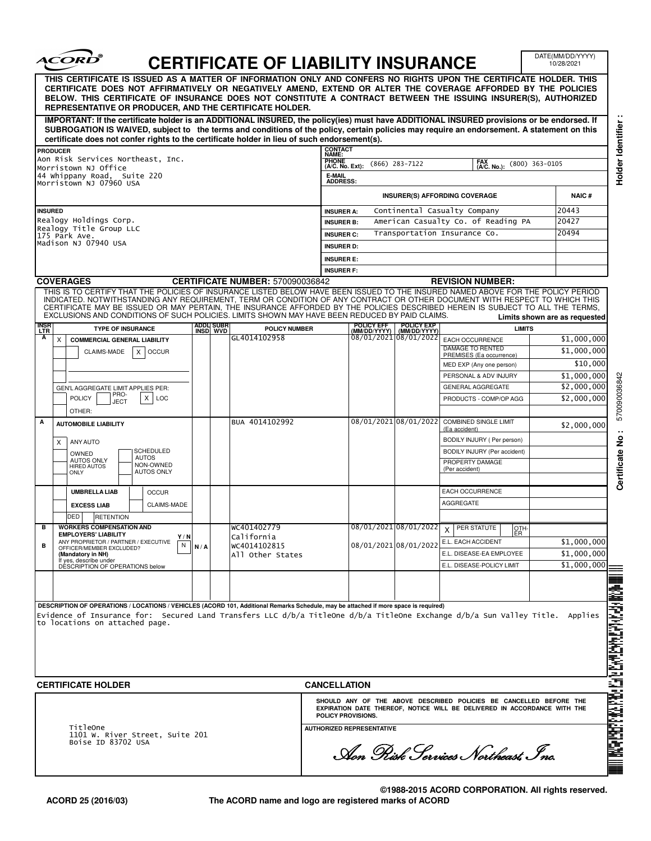|                | <i><b>ACORD</b></i>                                                                                                                                                                                                                                                                                                                                                                                                                                                                                |     |                                 | <b>CERTIFICATE OF LIABILITY INSURANCE</b> |                                 |                                  |                            |                                                                                                                                                | DATE(MM/DD/YYYY)<br>10/28/2021                 |
|----------------|----------------------------------------------------------------------------------------------------------------------------------------------------------------------------------------------------------------------------------------------------------------------------------------------------------------------------------------------------------------------------------------------------------------------------------------------------------------------------------------------------|-----|---------------------------------|-------------------------------------------|---------------------------------|----------------------------------|----------------------------|------------------------------------------------------------------------------------------------------------------------------------------------|------------------------------------------------|
|                | THIS CERTIFICATE IS ISSUED AS A MATTER OF INFORMATION ONLY AND CONFERS NO RIGHTS UPON THE CERTIFICATE HOLDER. THIS<br>CERTIFICATE DOES NOT AFFIRMATIVELY OR NEGATIVELY AMEND, EXTEND OR ALTER THE COVERAGE AFFORDED BY THE POLICIES<br>BELOW. THIS CERTIFICATE OF INSURANCE DOES NOT CONSTITUTE A CONTRACT BETWEEN THE ISSUING INSURER(S), AUTHORIZED<br>REPRESENTATIVE OR PRODUCER, AND THE CERTIFICATE HOLDER.                                                                                   |     |                                 |                                           |                                 |                                  |                            |                                                                                                                                                |                                                |
|                | IMPORTANT: If the certificate holder is an ADDITIONAL INSURED, the policy(ies) must have ADDITIONAL INSURED provisions or be endorsed. If<br>SUBROGATION IS WAIVED, subject to the terms and conditions of the policy, certain policies may require an endorsement. A statement on this<br>certificate does not confer rights to the certificate holder in lieu of such endorsement(s).                                                                                                            |     |                                 |                                           |                                 |                                  |                            |                                                                                                                                                |                                                |
|                | <b>PRODUCER</b>                                                                                                                                                                                                                                                                                                                                                                                                                                                                                    |     |                                 |                                           | <b>CONTACT</b><br>NAME:         |                                  |                            |                                                                                                                                                |                                                |
|                | Aon Risk Services Northeast, Inc.                                                                                                                                                                                                                                                                                                                                                                                                                                                                  |     |                                 |                                           | <b>PHONE</b><br>(A/C. No. Ext): |                                  | $(866)$ 283-7122           | FAX<br>(A/C. No.):                                                                                                                             | $(800)$ 363-0105                               |
|                | Morristown NJ Office<br>44 Whippany Road, Suite 220                                                                                                                                                                                                                                                                                                                                                                                                                                                |     |                                 |                                           | E-MAIL                          |                                  |                            |                                                                                                                                                |                                                |
|                | Morristown NJ 07960 USA                                                                                                                                                                                                                                                                                                                                                                                                                                                                            |     |                                 |                                           | <b>ADDRESS:</b>                 |                                  |                            | <b>INSURER(S) AFFORDING COVERAGE</b>                                                                                                           | <b>NAIC#</b>                                   |
| <b>INSURED</b> |                                                                                                                                                                                                                                                                                                                                                                                                                                                                                                    |     |                                 |                                           | <b>INSURER A:</b>               |                                  |                            | Continental Casualty Company                                                                                                                   | 20443                                          |
|                | Realogy Holdings Corp.                                                                                                                                                                                                                                                                                                                                                                                                                                                                             |     |                                 |                                           | <b>INSURER B:</b>               |                                  |                            | American Casualty Co. of Reading PA                                                                                                            | 20427                                          |
|                | Realogy Title Group LLC<br>175 Park Ave.                                                                                                                                                                                                                                                                                                                                                                                                                                                           |     |                                 |                                           | <b>INSURER C:</b>               |                                  |                            | Transportation Insurance Co.                                                                                                                   | 20494                                          |
|                | Madison NJ 07940 USA                                                                                                                                                                                                                                                                                                                                                                                                                                                                               |     |                                 |                                           | <b>INSURER D:</b>               |                                  |                            |                                                                                                                                                |                                                |
|                |                                                                                                                                                                                                                                                                                                                                                                                                                                                                                                    |     |                                 |                                           | <b>INSURER E:</b>               |                                  |                            |                                                                                                                                                |                                                |
|                |                                                                                                                                                                                                                                                                                                                                                                                                                                                                                                    |     |                                 |                                           | <b>INSURER F:</b>               |                                  |                            |                                                                                                                                                |                                                |
|                | <b>COVERAGES</b>                                                                                                                                                                                                                                                                                                                                                                                                                                                                                   |     |                                 | <b>CERTIFICATE NUMBER: 570090036842</b>   |                                 |                                  |                            | <b>REVISION NUMBER:</b>                                                                                                                        |                                                |
|                | THIS IS TO CERTIFY THAT THE POLICIES OF INSURANCE LISTED BELOW HAVE BEEN ISSUED TO THE INSURED NAMED ABOVE FOR THE POLICY PERIOD<br>INDICATED. NOTWITHSTANDING ANY REQUIREMENT, TERM OR CONDITION OF ANY CONTRACT OR OTHER DOCUMENT WITH RESPECT TO WHICH THIS<br>CERTIFICATE MAY BE ISSUED OR MAY PERTAIN, THE INSURANCE AFFORDED BY THE POLICIES DESCRIBED HEREIN IS SUBJECT TO ALL THE TERMS,<br>EXCLUSIONS AND CONDITIONS OF SUCH POLICIES. LIMITS SHOWN MAY HAVE BEEN REDUCED BY PAID CLAIMS. |     |                                 |                                           |                                 |                                  |                            |                                                                                                                                                |                                                |
| insr<br>Ltr    | <b>TYPE OF INSURANCE</b>                                                                                                                                                                                                                                                                                                                                                                                                                                                                           |     | ADDLI SUBR<br><u>Insd</u>   wvd | <b>POLICY NUMBER</b>                      |                                 | POLICY EFF<br>(MM/DD/YYYY)       | POLICY EXP<br>(MM/DD/YYYY) |                                                                                                                                                | Limits shown are as requested<br><b>LIMITS</b> |
| A              | <b>COMMERCIAL GENERAL LIABILITY</b><br>Χ                                                                                                                                                                                                                                                                                                                                                                                                                                                           |     |                                 | GL4014102958                              |                                 |                                  | 08/01/2021 08/01/2022      | EACH OCCURRENCE                                                                                                                                | \$1,000,000                                    |
|                | CLAIMS-MADE<br>X<br><b>OCCUR</b>                                                                                                                                                                                                                                                                                                                                                                                                                                                                   |     |                                 |                                           |                                 |                                  |                            | DAMAGE TO RENTED                                                                                                                               | \$1,000,000                                    |
|                |                                                                                                                                                                                                                                                                                                                                                                                                                                                                                                    |     |                                 |                                           |                                 |                                  |                            | PREMISES (Ea occurrence)<br>MED EXP (Any one person)                                                                                           | \$10,000                                       |
|                |                                                                                                                                                                                                                                                                                                                                                                                                                                                                                                    |     |                                 |                                           |                                 |                                  |                            | PERSONAL & ADV INJURY                                                                                                                          | \$1,000,000                                    |
|                | GEN'L AGGREGATE LIMIT APPLIES PER:                                                                                                                                                                                                                                                                                                                                                                                                                                                                 |     |                                 |                                           |                                 |                                  |                            | <b>GENERAL AGGREGATE</b>                                                                                                                       | \$2,000,000                                    |
|                | PRO-<br><b>POLICY</b><br>X<br>LOC<br>JECT<br>OTHER:                                                                                                                                                                                                                                                                                                                                                                                                                                                |     |                                 |                                           |                                 |                                  |                            | PRODUCTS - COMP/OP AGG                                                                                                                         | \$2,000,000                                    |
|                | <b>AUTOMOBILE LIABILITY</b>                                                                                                                                                                                                                                                                                                                                                                                                                                                                        |     |                                 | BUA 4014102992                            |                                 | 08/01/2021 08/01/2022            |                            | <b>COMBINED SINGLE LIMIT</b><br>(Ea accident)                                                                                                  | \$2,000,000                                    |
|                | ANY AUTO                                                                                                                                                                                                                                                                                                                                                                                                                                                                                           |     |                                 |                                           |                                 |                                  |                            | BODILY INJURY ( Per person)                                                                                                                    |                                                |
|                | X<br>SCHEDULED<br>OWNED                                                                                                                                                                                                                                                                                                                                                                                                                                                                            |     |                                 |                                           |                                 |                                  |                            | BODILY INJURY (Per accident)                                                                                                                   |                                                |
|                | <b>AUTOS</b><br><b>AUTOS ONLY</b><br>NON-OWNED<br><b>HIRED AUTOS</b>                                                                                                                                                                                                                                                                                                                                                                                                                               |     |                                 |                                           |                                 |                                  |                            | PROPERTY DAMAGE                                                                                                                                |                                                |
|                | <b>AUTOS ONLY</b><br>ONLY                                                                                                                                                                                                                                                                                                                                                                                                                                                                          |     |                                 |                                           |                                 |                                  |                            | (Per accident)                                                                                                                                 |                                                |
|                | <b>UMBRELLA LIAB</b><br><b>OCCUR</b>                                                                                                                                                                                                                                                                                                                                                                                                                                                               |     |                                 |                                           |                                 |                                  |                            | <b>EACH OCCURRENCE</b>                                                                                                                         |                                                |
|                |                                                                                                                                                                                                                                                                                                                                                                                                                                                                                                    |     |                                 |                                           |                                 |                                  |                            | AGGREGATE                                                                                                                                      |                                                |
|                | <b>EXCESS LIAB</b><br>CLAIMS-MADE<br>DED                                                                                                                                                                                                                                                                                                                                                                                                                                                           |     |                                 |                                           |                                 |                                  |                            |                                                                                                                                                |                                                |
|                | <b>RETENTION</b><br><b>WORKERS COMPENSATION AND</b>                                                                                                                                                                                                                                                                                                                                                                                                                                                |     |                                 | WC401402779                               |                                 |                                  |                            | $08/01/2021$ $08/01/2022$ $\times$ PER STATUTE                                                                                                 | OTH-                                           |
|                | <b>EMPLOYERS' LIABILITY</b><br>Y/N                                                                                                                                                                                                                                                                                                                                                                                                                                                                 |     |                                 | California                                |                                 |                                  |                            | <b>ER</b>                                                                                                                                      | \$1,000,000                                    |
| в              | ANY PROPRIETOR / PARTNER / EXECUTIVE<br>N<br>OFFICER/MEMBER EXCLUDED?                                                                                                                                                                                                                                                                                                                                                                                                                              | N/A |                                 | WC4014102815                              |                                 |                                  | 08/01/2021 08/01/2022      | E.L. EACH ACCIDENT<br>E.L. DISEASE-EA EMPLOYEE                                                                                                 | \$1,000,000                                    |
|                | (Mandatory in NH)<br>If yes, describe under<br>DESCRIPTION OF OPERATIONS below                                                                                                                                                                                                                                                                                                                                                                                                                     |     |                                 | All Other States                          |                                 |                                  |                            | E.L. DISEASE-POLICY LIMIT                                                                                                                      | \$1,000,000                                    |
|                |                                                                                                                                                                                                                                                                                                                                                                                                                                                                                                    |     |                                 |                                           |                                 |                                  |                            |                                                                                                                                                |                                                |
|                |                                                                                                                                                                                                                                                                                                                                                                                                                                                                                                    |     |                                 |                                           |                                 |                                  |                            |                                                                                                                                                |                                                |
|                | DESCRIPTION OF OPERATIONS / LOCATIONS / VEHICLES (ACORD 101, Additional Remarks Schedule, may be attached if more space is required)<br>Evidence of Insurance for: Secured Land Transfers LLC d/b/a TitleOne d/b/a TitleOne Exchange d/b/a Sun Valley Title. Applies<br>to locations on attached page.                                                                                                                                                                                             |     |                                 |                                           |                                 |                                  |                            |                                                                                                                                                |                                                |
|                | <b>CERTIFICATE HOLDER</b>                                                                                                                                                                                                                                                                                                                                                                                                                                                                          |     |                                 |                                           | <b>CANCELLATION</b>             |                                  |                            |                                                                                                                                                |                                                |
|                |                                                                                                                                                                                                                                                                                                                                                                                                                                                                                                    |     |                                 |                                           | POLICY PROVISIONS.              |                                  |                            | SHOULD ANY OF THE ABOVE DESCRIBED POLICIES BE CANCELLED BEFORE THE<br>EXPIRATION DATE THEREOF, NOTICE WILL BE DELIVERED IN ACCORDANCE WITH THE |                                                |
|                | TitleOne                                                                                                                                                                                                                                                                                                                                                                                                                                                                                           |     |                                 |                                           |                                 | <b>AUTHORIZED REPRESENTATIVE</b> |                            |                                                                                                                                                |                                                |
|                | 1101 W. River Street, Suite 201<br>Boise ID 83702 USA                                                                                                                                                                                                                                                                                                                                                                                                                                              |     |                                 |                                           |                                 |                                  |                            | Aon Pisk Services Northeast Inc.                                                                                                               |                                                |

┑

 $\subset$  .

**©1988-2015 ACORD CORPORATION. All rights reserved. The ACORD name and logo are registered marks of ACORD**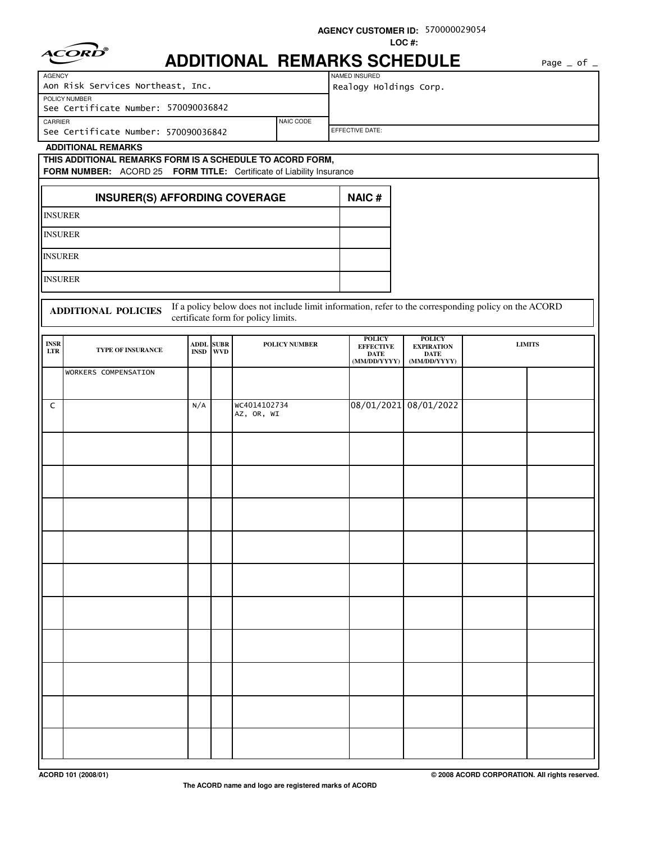| <b>ADDITIONAL REMARKS SCHEDULE</b><br>Page $\_$ of $\_$<br>NAMED INSURED<br><b>AGENCY</b><br>Aon Risk Services Northeast, Inc.<br>Realogy Holdings Corp.<br>POLICY NUMBER<br>See Certificate Number: 570090036842<br>CARRIER<br>NAIC CODE<br>EFFECTIVE DATE:<br>See Certificate Number: 570090036842<br><b>ADDITIONAL REMARKS</b><br>THIS ADDITIONAL REMARKS FORM IS A SCHEDULE TO ACORD FORM,<br>FORM NUMBER: ACORD 25 FORM TITLE: Certificate of Liability Insurance<br><b>NAIC#</b><br><b>INSURER(S) AFFORDING COVERAGE</b><br><b>INSURER</b><br><b>INSURER</b><br><b>INSURER</b><br><b>INSURER</b><br>If a policy below does not include limit information, refer to the corresponding policy on the ACORD<br><b>ADDITIONAL POLICIES</b><br>certificate form for policy limits.<br><b>POLICY</b><br><b>POLICY</b><br><b>INSR</b><br><b>ADDL SUBR</b><br>POLICY NUMBER<br><b>LIMITS</b><br><b>EFFECTIVE</b><br><b>EXPIRATION</b><br>TYPE OF INSURANCE<br>$_{\rm LTR}$<br><b>WVD</b><br><b>INSD</b><br><b>DATE</b><br><b>DATE</b><br>(MM/DD/YYYY)<br>(MM/DD/YYYY)<br>WORKERS COMPENSATION<br>WC4014102734<br>08/01/2021 08/01/2022<br>N/A<br>C<br>AZ, OR, WI |  |  |  | LOC#: |  |
|----------------------------------------------------------------------------------------------------------------------------------------------------------------------------------------------------------------------------------------------------------------------------------------------------------------------------------------------------------------------------------------------------------------------------------------------------------------------------------------------------------------------------------------------------------------------------------------------------------------------------------------------------------------------------------------------------------------------------------------------------------------------------------------------------------------------------------------------------------------------------------------------------------------------------------------------------------------------------------------------------------------------------------------------------------------------------------------------------------------------------------------------------------------|--|--|--|-------|--|
|                                                                                                                                                                                                                                                                                                                                                                                                                                                                                                                                                                                                                                                                                                                                                                                                                                                                                                                                                                                                                                                                                                                                                                |  |  |  |       |  |
|                                                                                                                                                                                                                                                                                                                                                                                                                                                                                                                                                                                                                                                                                                                                                                                                                                                                                                                                                                                                                                                                                                                                                                |  |  |  |       |  |
|                                                                                                                                                                                                                                                                                                                                                                                                                                                                                                                                                                                                                                                                                                                                                                                                                                                                                                                                                                                                                                                                                                                                                                |  |  |  |       |  |
|                                                                                                                                                                                                                                                                                                                                                                                                                                                                                                                                                                                                                                                                                                                                                                                                                                                                                                                                                                                                                                                                                                                                                                |  |  |  |       |  |
|                                                                                                                                                                                                                                                                                                                                                                                                                                                                                                                                                                                                                                                                                                                                                                                                                                                                                                                                                                                                                                                                                                                                                                |  |  |  |       |  |
|                                                                                                                                                                                                                                                                                                                                                                                                                                                                                                                                                                                                                                                                                                                                                                                                                                                                                                                                                                                                                                                                                                                                                                |  |  |  |       |  |
|                                                                                                                                                                                                                                                                                                                                                                                                                                                                                                                                                                                                                                                                                                                                                                                                                                                                                                                                                                                                                                                                                                                                                                |  |  |  |       |  |
|                                                                                                                                                                                                                                                                                                                                                                                                                                                                                                                                                                                                                                                                                                                                                                                                                                                                                                                                                                                                                                                                                                                                                                |  |  |  |       |  |
|                                                                                                                                                                                                                                                                                                                                                                                                                                                                                                                                                                                                                                                                                                                                                                                                                                                                                                                                                                                                                                                                                                                                                                |  |  |  |       |  |
|                                                                                                                                                                                                                                                                                                                                                                                                                                                                                                                                                                                                                                                                                                                                                                                                                                                                                                                                                                                                                                                                                                                                                                |  |  |  |       |  |
|                                                                                                                                                                                                                                                                                                                                                                                                                                                                                                                                                                                                                                                                                                                                                                                                                                                                                                                                                                                                                                                                                                                                                                |  |  |  |       |  |
|                                                                                                                                                                                                                                                                                                                                                                                                                                                                                                                                                                                                                                                                                                                                                                                                                                                                                                                                                                                                                                                                                                                                                                |  |  |  |       |  |
|                                                                                                                                                                                                                                                                                                                                                                                                                                                                                                                                                                                                                                                                                                                                                                                                                                                                                                                                                                                                                                                                                                                                                                |  |  |  |       |  |
|                                                                                                                                                                                                                                                                                                                                                                                                                                                                                                                                                                                                                                                                                                                                                                                                                                                                                                                                                                                                                                                                                                                                                                |  |  |  |       |  |
|                                                                                                                                                                                                                                                                                                                                                                                                                                                                                                                                                                                                                                                                                                                                                                                                                                                                                                                                                                                                                                                                                                                                                                |  |  |  |       |  |
|                                                                                                                                                                                                                                                                                                                                                                                                                                                                                                                                                                                                                                                                                                                                                                                                                                                                                                                                                                                                                                                                                                                                                                |  |  |  |       |  |
|                                                                                                                                                                                                                                                                                                                                                                                                                                                                                                                                                                                                                                                                                                                                                                                                                                                                                                                                                                                                                                                                                                                                                                |  |  |  |       |  |
|                                                                                                                                                                                                                                                                                                                                                                                                                                                                                                                                                                                                                                                                                                                                                                                                                                                                                                                                                                                                                                                                                                                                                                |  |  |  |       |  |
|                                                                                                                                                                                                                                                                                                                                                                                                                                                                                                                                                                                                                                                                                                                                                                                                                                                                                                                                                                                                                                                                                                                                                                |  |  |  |       |  |
|                                                                                                                                                                                                                                                                                                                                                                                                                                                                                                                                                                                                                                                                                                                                                                                                                                                                                                                                                                                                                                                                                                                                                                |  |  |  |       |  |
|                                                                                                                                                                                                                                                                                                                                                                                                                                                                                                                                                                                                                                                                                                                                                                                                                                                                                                                                                                                                                                                                                                                                                                |  |  |  |       |  |
|                                                                                                                                                                                                                                                                                                                                                                                                                                                                                                                                                                                                                                                                                                                                                                                                                                                                                                                                                                                                                                                                                                                                                                |  |  |  |       |  |
|                                                                                                                                                                                                                                                                                                                                                                                                                                                                                                                                                                                                                                                                                                                                                                                                                                                                                                                                                                                                                                                                                                                                                                |  |  |  |       |  |
|                                                                                                                                                                                                                                                                                                                                                                                                                                                                                                                                                                                                                                                                                                                                                                                                                                                                                                                                                                                                                                                                                                                                                                |  |  |  |       |  |
|                                                                                                                                                                                                                                                                                                                                                                                                                                                                                                                                                                                                                                                                                                                                                                                                                                                                                                                                                                                                                                                                                                                                                                |  |  |  |       |  |
|                                                                                                                                                                                                                                                                                                                                                                                                                                                                                                                                                                                                                                                                                                                                                                                                                                                                                                                                                                                                                                                                                                                                                                |  |  |  |       |  |
|                                                                                                                                                                                                                                                                                                                                                                                                                                                                                                                                                                                                                                                                                                                                                                                                                                                                                                                                                                                                                                                                                                                                                                |  |  |  |       |  |
|                                                                                                                                                                                                                                                                                                                                                                                                                                                                                                                                                                                                                                                                                                                                                                                                                                                                                                                                                                                                                                                                                                                                                                |  |  |  |       |  |
|                                                                                                                                                                                                                                                                                                                                                                                                                                                                                                                                                                                                                                                                                                                                                                                                                                                                                                                                                                                                                                                                                                                                                                |  |  |  |       |  |
|                                                                                                                                                                                                                                                                                                                                                                                                                                                                                                                                                                                                                                                                                                                                                                                                                                                                                                                                                                                                                                                                                                                                                                |  |  |  |       |  |
|                                                                                                                                                                                                                                                                                                                                                                                                                                                                                                                                                                                                                                                                                                                                                                                                                                                                                                                                                                                                                                                                                                                                                                |  |  |  |       |  |
|                                                                                                                                                                                                                                                                                                                                                                                                                                                                                                                                                                                                                                                                                                                                                                                                                                                                                                                                                                                                                                                                                                                                                                |  |  |  |       |  |
|                                                                                                                                                                                                                                                                                                                                                                                                                                                                                                                                                                                                                                                                                                                                                                                                                                                                                                                                                                                                                                                                                                                                                                |  |  |  |       |  |
|                                                                                                                                                                                                                                                                                                                                                                                                                                                                                                                                                                                                                                                                                                                                                                                                                                                                                                                                                                                                                                                                                                                                                                |  |  |  |       |  |
|                                                                                                                                                                                                                                                                                                                                                                                                                                                                                                                                                                                                                                                                                                                                                                                                                                                                                                                                                                                                                                                                                                                                                                |  |  |  |       |  |
|                                                                                                                                                                                                                                                                                                                                                                                                                                                                                                                                                                                                                                                                                                                                                                                                                                                                                                                                                                                                                                                                                                                                                                |  |  |  |       |  |
|                                                                                                                                                                                                                                                                                                                                                                                                                                                                                                                                                                                                                                                                                                                                                                                                                                                                                                                                                                                                                                                                                                                                                                |  |  |  |       |  |

**AGENCY CUSTOMER ID:** 570000029054

**ACORD 101 (2008/01) © 2008 ACORD CORPORATION. All rights reserved.**